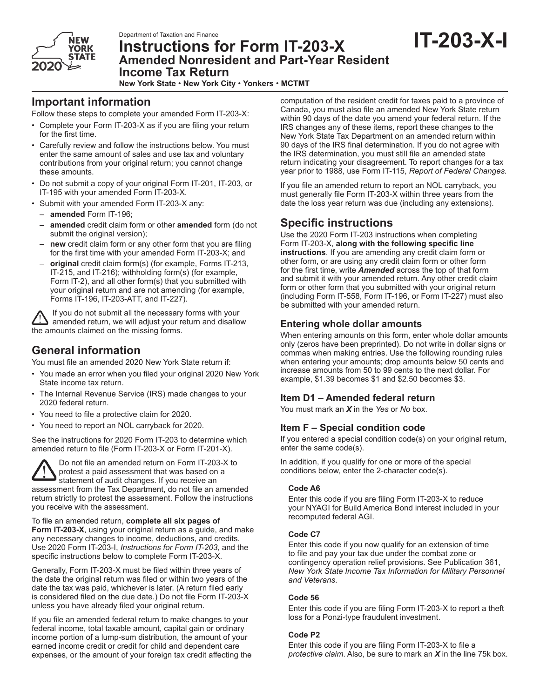

# Department of Taxation and Finance<br>Instructions for Form IT-203-X **IT-203-X-I Amended Nonresident and Part-Year Resident Income Tax Return**

**New York State** • **New York City** • **Yonkers** • **MCTMT**

# **Important information**

Follow these steps to complete your amended Form IT-203-X:

- Complete your Form IT-203-X as if you are filing your return for the first time.
- Carefully review and follow the instructions below. You must enter the same amount of sales and use tax and voluntary contributions from your original return; you cannot change these amounts.
- Do not submit a copy of your original Form IT-201, IT-203, or IT-195 with your amended Form IT-203-X.
- Submit with your amended Form IT-203-X any:
- **amended** Form IT-196;
- **amended** credit claim form or other **amended** form (do not submit the original version);
- **new** credit claim form or any other form that you are filing for the first time with your amended Form IT-203-X; and
- **original** credit claim form(s) (for example, Forms IT-213, IT-215, and IT-216); withholding form(s) (for example, Form IT-2), and all other form(s) that you submitted with your original return and are not amending (for example, Forms IT-196, IT-203-ATT, and IT-227).

If you do not submit all the necessary forms with your amended return, we will adjust your return and disallow the amounts claimed on the missing forms.

# **General information**

You must file an amended 2020 New York State return if:

- You made an error when you filed your original 2020 New York State income tax return.
- The Internal Revenue Service (IRS) made changes to your 2020 federal return.
- You need to file a protective claim for 2020.
- You need to report an NOL carryback for 2020.

See the instructions for 2020 Form IT-203 to determine which amended return to file (Form IT-203-X or Form IT‑201-X).

Do not file an amended return on Form IT‑203‑X to protest a paid assessment that was based on a statement of audit changes. If you receive an assessment from the Tax Department, do not file an amended return strictly to protest the assessment. Follow the instructions you receive with the assessment.

To file an amended return, **complete all six pages of Form IT-203-X**, using your original return as a guide, and make any necessary changes to income, deductions, and credits. Use 2020 Form IT-203-I, *Instructions for Form IT-203,* and the specific instructions below to complete Form IT-203-X.

Generally, Form IT-203-X must be filed within three years of the date the original return was filed or within two years of the date the tax was paid, whichever is later. (A return filed early is considered filed on the due date.) Do not file Form IT-203-X unless you have already filed your original return.

If you file an amended federal return to make changes to your federal income, total taxable amount, capital gain or ordinary income portion of a lump-sum distribution, the amount of your earned income credit or credit for child and dependent care expenses, or the amount of your foreign tax credit affecting the computation of the resident credit for taxes paid to a province of Canada, you must also file an amended New York State return within 90 days of the date you amend your federal return. If the IRS changes any of these items, report these changes to the New York State Tax Department on an amended return within 90 days of the IRS final determination. If you do not agree with the IRS determination, you must still file an amended state return indicating your disagreement. To report changes for a tax year prior to 1988, use Form IT-115, *Report of Federal Changes.*

If you file an amended return to report an NOL carryback, you must generally file Form IT-203-X within three years from the date the loss year return was due (including any extensions).

# **Specific instructions**

Use the 2020 Form IT-203 instructions when completing Form IT-203-X, **along with the following specific line instructions**. If you are amending any credit claim form or other form, or are using any credit claim form or other form for the first time, write *Amended* across the top of that form and submit it with your amended return. Any other credit claim form or other form that you submitted with your original return (including Form IT-558, Form IT-196, or Form IT-227) must also be submitted with your amended return.

## **Entering whole dollar amounts**

When entering amounts on this form, enter whole dollar amounts only (zeros have been preprinted). Do not write in dollar signs or commas when making entries. Use the following rounding rules when entering your amounts; drop amounts below 50 cents and increase amounts from 50 to 99 cents to the next dollar. For example, \$1.39 becomes \$1 and \$2.50 becomes \$3.

# **Item D1 – Amended federal return**

You must mark an *X* in the *Yes* or *No* box.

# **Item F – Special condition code**

If you entered a special condition code(s) on your original return, enter the same code(s).

In addition, if you qualify for one or more of the special conditions below, enter the 2-character code(s).

### **Code A6**

Enter this code if you are filing Form IT-203-X to reduce your NYAGI for Build America Bond interest included in your recomputed federal AGI.

### **Code C7**

Enter this code if you now qualify for an extension of time to file and pay your tax due under the combat zone or contingency operation relief provisions. See Publication 361, *New York State Income Tax Information for Military Personnel and Veterans*.

### **Code 56**

Enter this code if you are filing Form IT-203-X to report a theft loss for a Ponzi-type fraudulent investment.

### **Code P2**

Enter this code if you are filing Form IT-203-X to file a *protective claim*. Also, be sure to mark an *X* in the line 75k box.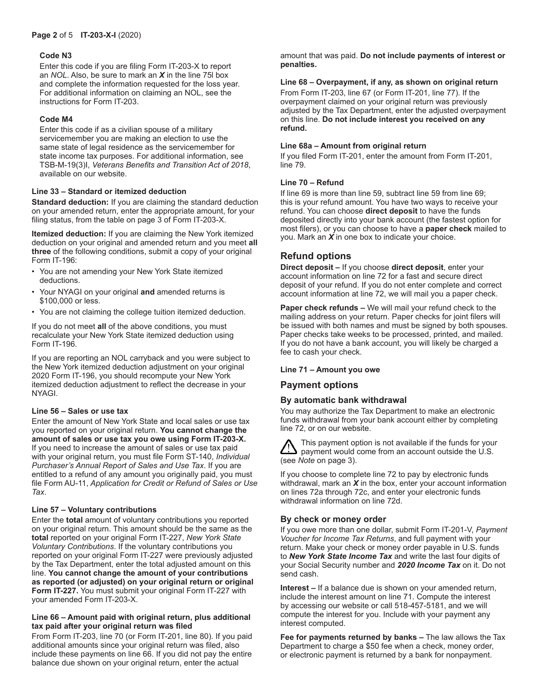### **Code N3**

Enter this code if you are filing Form IT-203-X to report an *NOL*. Also, be sure to mark an *X* in the line 75l box and complete the information requested for the loss year. For additional information on claiming an NOL, see the instructions for Form IT-203.

#### **Code M4**

Enter this code if as a civilian spouse of a military servicemember you are making an election to use the same state of legal residence as the servicemember for state income tax purposes. For additional information, see TSB-M-19(3)I, *Veterans Benefits and Transition Act of 2018*, available on our website.

#### **Line 33 – Standard or itemized deduction**

**Standard deduction:** If you are claiming the standard deduction on your amended return, enter the appropriate amount, for your filing status, from the table on page 3 of Form IT-203-X.

**Itemized deduction:** If you are claiming the New York itemized deduction on your original and amended return and you meet **all three** of the following conditions, submit a copy of your original Form IT-196:

- You are not amending your New York State itemized deductions.
- Your NYAGI on your original **and** amended returns is \$100,000 or less.
- You are not claiming the college tuition itemized deduction.

If you do not meet **all** of the above conditions, you must recalculate your New York State itemized deduction using Form IT-196.

If you are reporting an NOL carryback and you were subject to the New York itemized deduction adjustment on your original 2020 Form IT-196, you should recompute your New York itemized deduction adjustment to reflect the decrease in your NYAGI.

#### **Line 56 – Sales or use tax**

Enter the amount of New York State and local sales or use tax you reported on your original return. **You cannot change the amount of sales or use tax you owe using Form IT-203-X.** If you need to increase the amount of sales or use tax paid with your original return, you must file Form ST‑140, *Individual Purchaser's Annual Report of Sales and Use Tax*. If you are entitled to a refund of any amount you originally paid, you must file Form AU-11, *Application for Credit or Refund of Sales or Use Tax*.

### **Line 57 – Voluntary contributions**

Enter the **total** amount of voluntary contributions you reported on your original return. This amount should be the same as the **total** reported on your original Form IT-227, *New York State Voluntary Contributions*. If the voluntary contributions you reported on your original Form IT-227 were previously adjusted by the Tax Department, enter the total adjusted amount on this line. **You cannot change the amount of your contributions as reported (or adjusted) on your original return or original Form IT-227.** You must submit your original Form IT-227 with your amended Form IT-203-X.

#### **Line 66 – Amount paid with original return, plus additional tax paid after your original return was filed**

From Form IT-203, line 70 (or Form IT-201, line 80). If you paid additional amounts since your original return was filed, also include these payments on line 66. If you did not pay the entire balance due shown on your original return, enter the actual

amount that was paid. **Do not include payments of interest or penalties.**

#### **Line 68 – Overpayment, if any, as shown on original return**

From Form IT-203, line 67 (or Form IT-201, line 77). If the overpayment claimed on your original return was previously adjusted by the Tax Department, enter the adjusted overpayment on this line. **Do not include interest you received on any refund.**

#### **Line 68a – Amount from original return**

If you filed Form IT-201, enter the amount from Form IT-201, line 79.

#### **Line 70 – Refund**

If line 69 is more than line 59, subtract line 59 from line 69; this is your refund amount. You have two ways to receive your refund. You can choose **direct deposit** to have the funds deposited directly into your bank account (the fastest option for most filers), or you can choose to have a **paper check** mailed to you. Mark an *X* in one box to indicate your choice.

## **Refund options**

**Direct deposit –** If you choose **direct deposit**, enter your account information on line 72 for a fast and secure direct deposit of your refund. If you do not enter complete and correct account information at line 72, we will mail you a paper check.

**Paper check refunds –** We will mail your refund check to the mailing address on your return. Paper checks for joint filers will be issued with both names and must be signed by both spouses. Paper checks take weeks to be processed, printed, and mailed. If you do not have a bank account, you will likely be charged a fee to cash your check.

#### **Line 71 – Amount you owe**

### **Payment options**

### **By automatic bank withdrawal**

You may authorize the Tax Department to make an electronic funds withdrawal from your bank account either by completing line 72, or on our website.

This payment option is not available if the funds for your payment would come from an account outside the U.S. (see *Note* on page 3).

If you choose to complete line 72 to pay by electronic funds withdrawal, mark an *X* in the box, enter your account information on lines 72a through 72c, and enter your electronic funds withdrawal information on line 72d.

### **By check or money order**

If you owe more than one dollar, submit Form IT-201-V, *Payment Voucher for Income Tax Returns*, and full payment with your return. Make your check or money order payable in U.S. funds to *New York State Income Tax* and write the last four digits of your Social Security number and *2020 Income Tax* on it. Do not send cash.

**Interest –** If a balance due is shown on your amended return, include the interest amount on line 71. Compute the interest by accessing our website or call 518-457-5181, and we will compute the interest for you. Include with your payment any interest computed.

**Fee for payments returned by banks –** The law allows the Tax Department to charge a \$50 fee when a check, money order, or electronic payment is returned by a bank for nonpayment.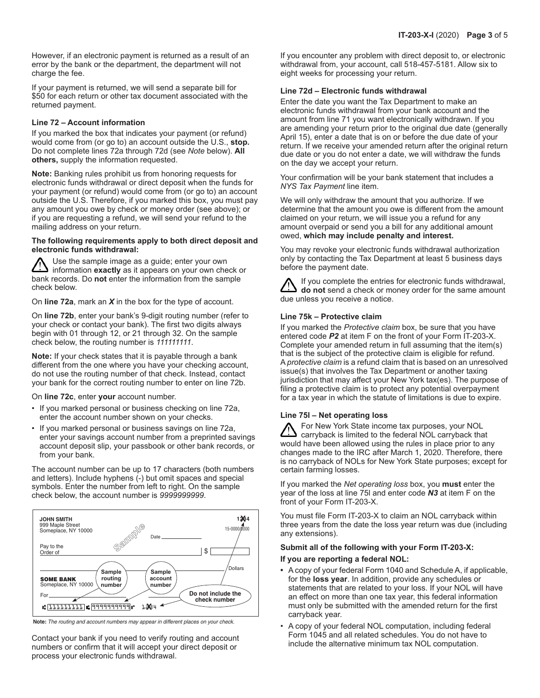However, if an electronic payment is returned as a result of an error by the bank or the department, the department will not charge the fee.

If your payment is returned, we will send a separate bill for \$50 for each return or other tax document associated with the returned payment.

#### **Line 72 – Account information**

If you marked the box that indicates your payment (or refund) would come from (or go to) an account outside the U.S., **stop.** Do not complete lines 72a through 72d (see *Note* below). **All others,** supply the information requested.

**Note:** Banking rules prohibit us from honoring requests for electronic funds withdrawal or direct deposit when the funds for your payment (or refund) would come from (or go to) an account outside the U.S. Therefore, if you marked this box, you must pay any amount you owe by check or money order (see above); or if you are requesting a refund, we will send your refund to the mailing address on your return.

#### **The following requirements apply to both direct deposit and electronic funds withdrawal:**

Use the sample image as a guide; enter your own information **exactly** as it appears on your own check or bank records. Do **not** enter the information from the sample check below.

On **line 72a**, mark an *X* in the box for the type of account.

On **line 72b**, enter your bank's 9-digit routing number (refer to your check or contact your bank). The first two digits always begin with 01 through 12, or 21 through 32. On the sample check below, the routing number is *111111111*.

**Note:** If your check states that it is payable through a bank different from the one where you have your checking account, do not use the routing number of that check. Instead, contact your bank for the correct routing number to enter on line 72b.

On **line 72c**, enter **your** account number.

- If you marked personal or business checking on line 72a, enter the account number shown on your checks.
- If you marked personal or business savings on line 72a, enter your savings account number from a preprinted savings account deposit slip, your passbook or other bank records, or from your bank.

The account number can be up to 17 characters (both numbers and letters). Include hyphens (-) but omit spaces and special symbols. Enter the number from left to right. On the sample check below, the account number is *9999999999*.



**Note:** *The routing and account numbers may appear in different places on your check.*

Contact your bank if you need to verify routing and account numbers or confirm that it will accept your direct deposit or process your electronic funds withdrawal.

If you encounter any problem with direct deposit to, or electronic withdrawal from, your account, call 518-457-5181. Allow six to eight weeks for processing your return.

#### **Line 72d – Electronic funds withdrawal**

Enter the date you want the Tax Department to make an electronic funds withdrawal from your bank account and the amount from line 71 you want electronically withdrawn. If you are amending your return prior to the original due date (generally April 15), enter a date that is on or before the due date of your return. If we receive your amended return after the original return due date or you do not enter a date, we will withdraw the funds on the day we accept your return.

Your confirmation will be your bank statement that includes a *NYS Tax Payment* line item.

We will only withdraw the amount that you authorize. If we determine that the amount you owe is different from the amount claimed on your return, we will issue you a refund for any amount overpaid or send you a bill for any additional amount owed, **which may include penalty and interest.**

You may revoke your electronic funds withdrawal authorization only by contacting the Tax Department at least 5 business days before the payment date.

If you complete the entries for electronic funds withdrawal, **do not** send a check or money order for the same amount due unless you receive a notice.

#### **Line 75k – Protective claim**

If you marked the *Protective claim* box, be sure that you have entered code *P2* at item F on the front of your Form IT-203-X. Complete your amended return in full assuming that the item(s) that is the subject of the protective claim is eligible for refund. A *protective claim* is a refund claim that is based on an unresolved issue(s) that involves the Tax Department or another taxing jurisdiction that may affect your New York tax(es). The purpose of filing a protective claim is to protect any potential overpayment for a tax year in which the statute of limitations is due to expire.

#### **Line 75l – Net operating loss**

For New York State income tax purposes, your NOL carryback is limited to the federal NOL carryback that would have been allowed using the rules in place prior to any changes made to the IRC after March 1, 2020. Therefore, there is no carryback of NOLs for New York State purposes; except for certain farming losses.

If you marked the *Net operating loss* box, you **must** enter the year of the loss at line 75l and enter code *N3* at item F on the front of your Form IT-203-X.

You must file Form IT-203-X to claim an NOL carryback within three years from the date the loss year return was due (including any extensions).

#### **Submit all of the following with your Form IT-203-X:**

#### **If you are reporting a federal NOL:**

- **•** A copy of your federal Form 1040 and Schedule A, if applicable, for the **loss year**. In addition, provide any schedules or statements that are related to your loss. If your NOL will have an effect on more than one tax year, this federal information must only be submitted with the amended return for the first carryback year.
- A copy of your federal NOL computation, including federal Form 1045 and all related schedules. You do not have to include the alternative minimum tax NOL computation.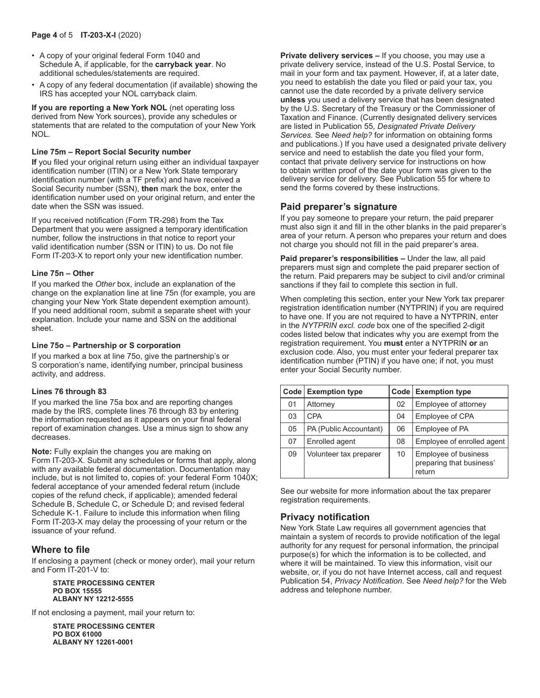- A copy of your original federal Form 1040 and Schedule A, if applicable, for the **carryback year**. No additional schedules/statements are required.
- A copy of any federal documentation (if available) showing the IRS has accepted your NOL carryback claim.

**If you are reporting a New York NOL** (net operating loss derived from New York sources), provide any schedules or statements that are related to the computation of your New York NOL.

#### **Line 75m – Report Social Security number**

**If** you filed your original return using either an individual taxpayer identification number (ITIN) or a New York State temporary identification number (with a TF prefix) and have received a Social Security number (SSN), **then** mark the box, enter the identification number used on your original return, and enter the date when the SSN was issued.

If you received notification (Form TR-298) from the Tax Department that you were assigned a temporary identification number, follow the instructions in that notice to report your valid identification number (SSN or ITIN) to us. Do not file Form IT-203-X to report only your new identification number.

#### **Line 75n – Other**

If you marked the *Other* box, include an explanation of the change on the explanation line at line 75n (for example, you are changing your New York State dependent exemption amount). If you need additional room, submit a separate sheet with your explanation. Include your name and SSN on the additional sheet.

#### **Line 75o – Partnership or S corporation**

If you marked a box at line 75o, give the partnership's or S corporation's name, identifying number, principal business activity, and address.

#### **Lines 76 through 83**

If you marked the line 75a box and are reporting changes made by the IRS, complete lines 76 through 83 by entering the information requested as it appears on your final federal report of examination changes. Use a minus sign to show any decreases.

**Note:** Fully explain the changes you are making on Form IT-203-X. Submit any schedules or forms that apply, along with any available federal documentation. Documentation may include, but is not limited to, copies of: your federal Form 1040X; federal acceptance of your amended federal return (include copies of the refund check, if applicable); amended federal Schedule B, Schedule C, or Schedule D; and revised federal Schedule K-1. Failure to include this information when filing Form IT-203-X may delay the processing of your return or the issuance of your refund.

## **Where to file**

If enclosing a payment (check or money order), mail your return and Form IT-201-V to:

#### **STATE PROCESSING CENTER PO BOX 15555 ALBANY NY 12212-5555**

If not enclosing a payment, mail your return to:

**STATE PROCESSING CENTER PO BOX 61000 ALBANY NY 12261-0001**

**Private delivery services –** If you choose, you may use a private delivery service, instead of the U.S. Postal Service, to mail in your form and tax payment. However, if, at a later date, you need to establish the date you filed or paid your tax, you cannot use the date recorded by a private delivery service **unless** you used a delivery service that has been designated by the U.S. Secretary of the Treasury or the Commissioner of Taxation and Finance. (Currently designated delivery services are listed in Publication 55, *Designated Private Delivery Services.* See *Need help?* for information on obtaining forms and publications.) If you have used a designated private delivery service and need to establish the date you filed your form, contact that private delivery service for instructions on how to obtain written proof of the date your form was given to the delivery service for delivery. See Publication 55 for where to send the forms covered by these instructions.

### **Paid preparer's signature**

If you pay someone to prepare your return, the paid preparer must also sign it and fill in the other blanks in the paid preparer's area of your return. A person who prepares your return and does not charge you should not fill in the paid preparer's area.

**Paid preparer's responsibilities –** Under the law, all paid preparers must sign and complete the paid preparer section of the return. Paid preparers may be subject to civil and/or criminal sanctions if they fail to complete this section in full.

When completing this section, enter your New York tax preparer registration identification number (NYTPRIN) if you are required to have one. If you are not required to have a NYTPRIN, enter in the *NYTPRIN excl. code* box one of the specified 2-digit codes listed below that indicates why you are exempt from the registration requirement. You **must** enter a NYTPRIN **or** an exclusion code. Also, you must enter your federal preparer tax identification number (PTIN) if you have one; if not, you must enter your Social Security number.

|    | Code   Exemption type  |    | Code   Exemption type                                      |
|----|------------------------|----|------------------------------------------------------------|
| 01 | Attorney               | 02 | Employee of attorney                                       |
| 03 | <b>CPA</b>             | 04 | Employee of CPA                                            |
| 05 | PA (Public Accountant) | 06 | Employee of PA                                             |
| 07 | Enrolled agent         | 08 | Employee of enrolled agent                                 |
| 09 | Volunteer tax preparer | 10 | Employee of business<br>preparing that business'<br>return |

See our website for more information about the tax preparer registration requirements.

## **Privacy notification**

New York State Law requires all government agencies that maintain a system of records to provide notification of the legal authority for any request for personal information, the principal purpose(s) for which the information is to be collected, and where it will be maintained. To view this information, visit our website, or, if you do not have Internet access, call and request Publication 54, *Privacy Notification*. See *Need help?* for the Web address and telephone number.